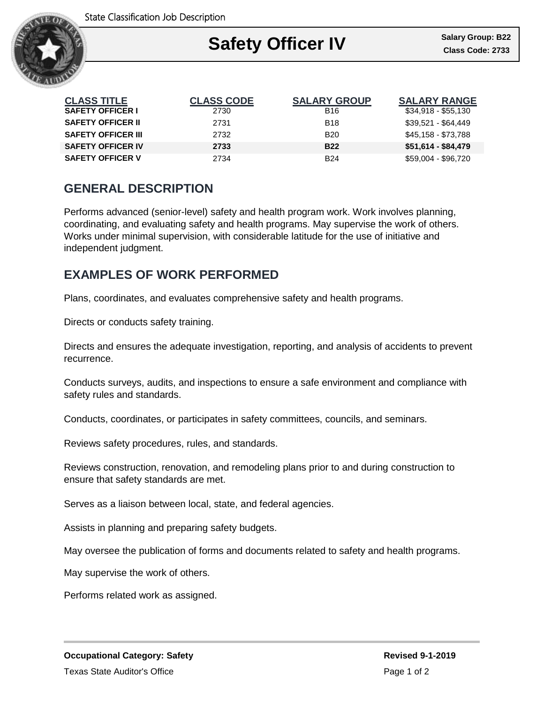State Classification Job Description



| <b>CLASS TITLE</b>        | <b>CLASS CODE</b> | <b>SALARY GROUP</b> | <b>SALARY RANGE</b> |
|---------------------------|-------------------|---------------------|---------------------|
| <b>SAFETY OFFICER I</b>   | 2730              | B <sub>16</sub>     | $$34,918 - $55,130$ |
| <b>SAFETY OFFICER II</b>  | 2731              | <b>B18</b>          | \$39,521 - \$64,449 |
| <b>SAFETY OFFICER III</b> | 2732              | <b>B20</b>          | \$45,158 - \$73,788 |
| <b>SAFETY OFFICER IV</b>  | 2733              | <b>B22</b>          | $$51,614 - $84,479$ |
| <b>SAFETY OFFICER V</b>   | 2734              | <b>B24</b>          | \$59,004 - \$96,720 |

## **GENERAL DESCRIPTION**

Performs advanced (senior-level) safety and health program work. Work involves planning, coordinating, and evaluating safety and health programs. May supervise the work of others. Works under minimal supervision, with considerable latitude for the use of initiative and independent judgment.

## **EXAMPLES OF WORK PERFORMED**

Plans, coordinates, and evaluates comprehensive safety and health programs.

Directs or conducts safety training.

Directs and ensures the adequate investigation, reporting, and analysis of accidents to prevent recurrence.

Conducts surveys, audits, and inspections to ensure a safe environment and compliance with safety rules and standards.

Conducts, coordinates, or participates in safety committees, councils, and seminars.

Reviews safety procedures, rules, and standards.

Reviews construction, renovation, and remodeling plans prior to and during construction to ensure that safety standards are met.

Serves as a liaison between local, state, and federal agencies.

Assists in planning and preparing safety budgets.

May oversee the publication of forms and documents related to safety and health programs.

May supervise the work of others.

Performs related work as assigned.